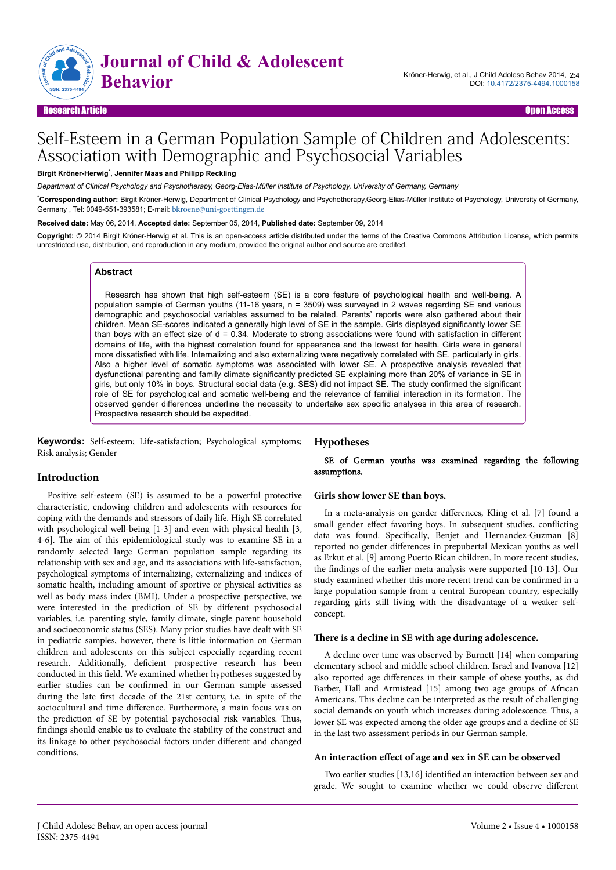

# Self-Esteem in a German Population Sample of Children and Adolescents: Association with Demographic and Psychosocial Variables

#### **Birgit Kröner-Herwig**\* **, Jennifer Maas and Philipp Reckling**

*Department of Clinical Psychology and Psychotherapy, Georg-Elias-Müller Institute of Psychology, University of Germany, Germany*

\***Corresponding author:** Birgit Kröner-Herwig, Department of Clinical Psychology and Psychotherapy,Georg-Elias-Müller Institute of Psychology, University of Germany, Germany , Tel: 0049-551-393581; E-mail: [bkroene@uni-goettingen.de](mailto:bkroene@uni-goettingen.de)

#### **Received date:** May 06, 2014, **Accepted date:** September 05, 2014, **Published date:** September 09, 2014

**Copyright:** © 2014 Birgit Kröner-Herwig et al. This is an open-access article distributed under the terms of the Creative Commons Attribution License, which permits unrestricted use, distribution, and reproduction in any medium, provided the original author and source are credited.

# **Abstract**

Research has shown that high self-esteem (SE) is a core feature of psychological health and well-being. A population sample of German youths (11-16 years, n = 3509) was surveyed in 2 waves regarding SE and various demographic and psychosocial variables assumed to be related. Parents' reports were also gathered about their children. Mean SE-scores indicated a generally high level of SE in the sample. Girls displayed significantly lower SE than boys with an effect size of d = 0.34. Moderate to strong associations were found with satisfaction in different domains of life, with the highest correlation found for appearance and the lowest for health. Girls were in general more dissatisfied with life. Internalizing and also externalizing were negatively correlated with SE, particularly in girls. Also a higher level of somatic symptoms was associated with lower SE. A prospective analysis revealed that dysfunctional parenting and family climate significantly predicted SE explaining more than 20% of variance in SE in girls, but only 10% in boys. Structural social data (e.g. SES) did not impact SE. The study confirmed the significant role of SE for psychological and somatic well-being and the relevance of familial interaction in its formation. The observed gender differences underline the necessity to undertake sex specific analyses in this area of research. Prospective research should be expedited.

**Keywords:** Self-esteem; Life-satisfaction; Psychological symptoms; Risk analysis; Gender

# **Introduction**

Positive self-esteem (SE) is assumed to be a powerful protective characteristic, endowing children and adolescents with resources for coping with the demands and stressors of daily life. High SE correlated with psychological well-being [1-3] and even with physical health [3, 4-6]. Нe aim of this epidemiological study was to examine SE in a randomly selected large German population sample regarding its relationship with sex and age, and its associations with life-satisfaction, psychological symptoms of internalizing, externalizing and indices of somatic health, including amount of sportive or physical activities as well as body mass index (BMI). Under a prospective perspective, we were interested in the prediction of SE by different psychosocial variables, i.e. parenting style, family climate, single parent household and socioeconomic status (SES). Many prior studies have dealt with SE in pediatric samples, however, there is little information on German children and adolescents on this subject especially regarding recent research. Additionally, deficient prospective research has been conducted in this field. We examined whether hypotheses suggested by earlier studies can be confirmed in our German sample assessed during the late first decade of the 21st century, i.e. in spite of the sociocultural and time difference. Furthermore, a main focus was on the prediction of SE by potential psychosocial risk variables. Нus, findings should enable us to evaluate the stability of the construct and its linkage to other psychosocial factors under different and changed conditions.

# **Hypotheses**

SE of German youths was examined regarding the following assumptions.

## **Girls show lower SE than boys.**

In a meta-analysis on gender differences, Kling et al. [7] found a small gender effect favoring boys. In subsequent studies, conflicting data was found. Specifically, Benjet and Hernandez-Guzman [8] reported no gender differences in prepubertal Mexican youths as well as Erkut et al. [9] among Puerto Rican children. In more recent studies, the findings of the earlier meta-analysis were supported [10-13]. Our study examined whether this more recent trend can be confirmed in a large population sample from a central European country, especially regarding girls still living with the disadvantage of a weaker selfconcept.

#### There is a decline in SE with age during adolescence.

A decline over time was observed by Burnett [14] when comparing elementary school and middle school children. Israel and Ivanova [12] also reported age differences in their sample of obese youths, as did Barber, Hall and Armistead [15] among two age groups of African Americans. Нis decline can be interpreted as the result of challenging social demands on youth which increases during adolescence. Нus, a lower SE was expected among the older age groups and a decline of SE in the last two assessment periods in our German sample.

#### An interaction effect of age and sex in SE can be observed

Two earlier studies [13,16] identified an interaction between sex and grade. We sought to examine whether we could observe different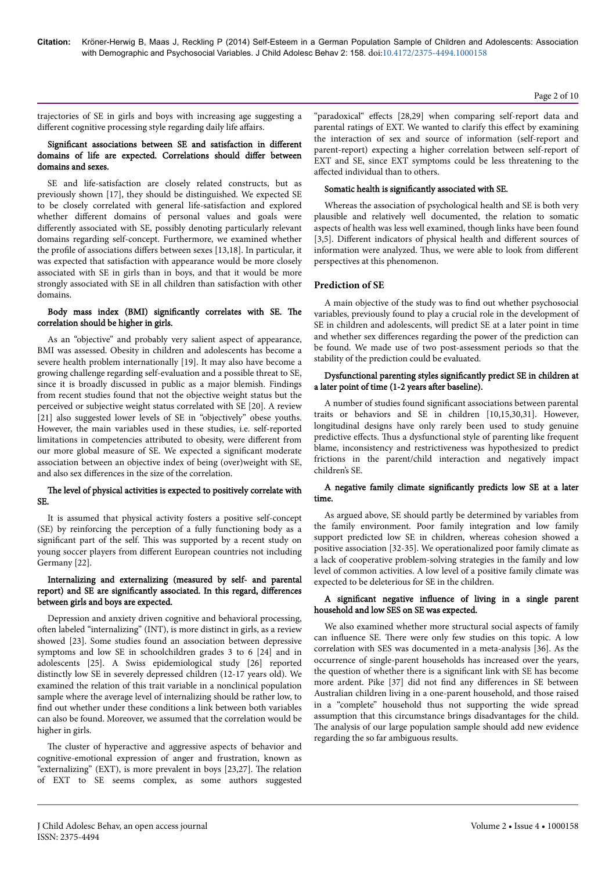trajectories of SE in girls and boys with increasing age suggesting a different cognitive processing style regarding daily life affairs.

# Significant associations between SE and satisfaction in different domains of life are expected. Correlations should differ between domains and sexes.

SE and life-satisfaction are closely related constructs, but as previously shown [17], they should be distinguished. We expected SE to be closely correlated with general life-satisfaction and explored whether different domains of personal values and goals were differently associated with SE, possibly denoting particularly relevant domains regarding self-concept. Furthermore, we examined whether the profile of associations differs between sexes [13,18]. In particular, it was expected that satisfaction with appearance would be more closely associated with SE in girls than in boys, and that it would be more strongly associated with SE in all children than satisfaction with other domains.

## Body mass index (BMI) significantly correlates with SE. The correlation should be higher in girls.

As an "objective" and probably very salient aspect of appearance, BMI was assessed. Obesity in children and adolescents has become a severe health problem internationally [19]. It may also have become a growing challenge regarding self-evaluation and a possible threat to SE, since it is broadly discussed in public as a major blemish. Findings from recent studies found that not the objective weight status but the perceived or subjective weight status correlated with SE [20]. A review [21] also suggested lower levels of SE in "objectively" obese youths. However, the main variables used in these studies, i.e. self-reported limitations in competencies attributed to obesity, were different from our more global measure of SE. We expected a significant moderate association between an objective index of being (over)weight with SE, and also sex differences in the size of the correlation.

# The level of physical activities is expected to positively correlate with SE.

It is assumed that physical activity fosters a positive self-concept (SE) by reinforcing the perception of a fully functioning body as a significant part of the self. This was supported by a recent study on young soccer players from different European countries not including Germany [22].

# Internalizing and externalizing (measured by self- and parental report) and SE are significantly associated. In this regard, differences between girls and boys are expected.

Depression and anxiety driven cognitive and behavioral processing, often labeled "internalizing" (INT), is more distinct in girls, as a review showed [23]. Some studies found an association between depressive symptoms and low SE in schoolchildren grades 3 to 6 [24] and in adolescents [25]. A Swiss epidemiological study [26] reported distinctly low SE in severely depressed children (12-17 years old). We examined the relation of this trait variable in a nonclinical population sample where the average level of internalizing should be rather low, to find out whether under these conditions a link between both variables can also be found. Moreover, we assumed that the correlation would be higher in girls.

The cluster of hyperactive and aggressive aspects of behavior and cognitive-emotional expression of anger and frustration, known as "externalizing" (EXT), is more prevalent in boys [23,27]. Нe relation of EXT to SE seems complex, as some authors suggested "paradoxical" effects [28,29] when comparing self-report data and parental ratings of EXT. We wanted to clarify this effect by examining the interaction of sex and source of information (self-report and parent-report) expecting a higher correlation between self-report of EXT and SE, since EXT symptoms could be less threatening to the affected individual than to others.

# Somatic health is significantly associated with SE.

Whereas the association of psychological health and SE is both very plausible and relatively well documented, the relation to somatic aspects of health was less well examined, though links have been found [3,5]. Different indicators of physical health and different sources of information were analyzed. Thus, we were able to look from different perspectives at this phenomenon.

# **Prediction of SE**

A main objective of the study was to find out whether psychosocial variables, previously found to play a crucial role in the development of SE in children and adolescents, will predict SE at a later point in time and whether sex differences regarding the power of the prediction can be found. We made use of two post-assessment periods so that the stability of the prediction could be evaluated.

## Dysfunctional parenting styles significantly predict SE in children at a later point of time (1-2 years after baseline).

A number of studies found significant associations between parental traits or behaviors and SE in children [10,15,30,31]. However, longitudinal designs have only rarely been used to study genuine predictive effects. Thus a dysfunctional style of parenting like frequent blame, inconsistency and restrictiveness was hypothesized to predict frictions in the parent/child interaction and negatively impact children's SE.

## A negative family climate significantly predicts low SE at a later time.

As argued above, SE should partly be determined by variables from the family environment. Poor family integration and low family support predicted low SE in children, whereas cohesion showed a positive association [32-35]. We operationalized poor family climate as a lack of cooperative problem-solving strategies in the family and low level of common activities. A low level of a positive family climate was expected to be deleterious for SE in the children.

#### A significant negative influence of living in a single parent household and low SES on SE was expected.

We also examined whether more structural social aspects of family can influence SE. Нere were only few studies on this topic. A low correlation with SES was documented in a meta-analysis [36]. As the occurrence of single-parent households has increased over the years, the question of whether there is a significant link with SE has become more ardent. Pike [37] did not find any differences in SE between Australian children living in a one-parent household, and those raised in a "complete" household thus not supporting the wide spread assumption that this circumstance brings disadvantages for the child. The analysis of our large population sample should add new evidence regarding the so far ambiguous results.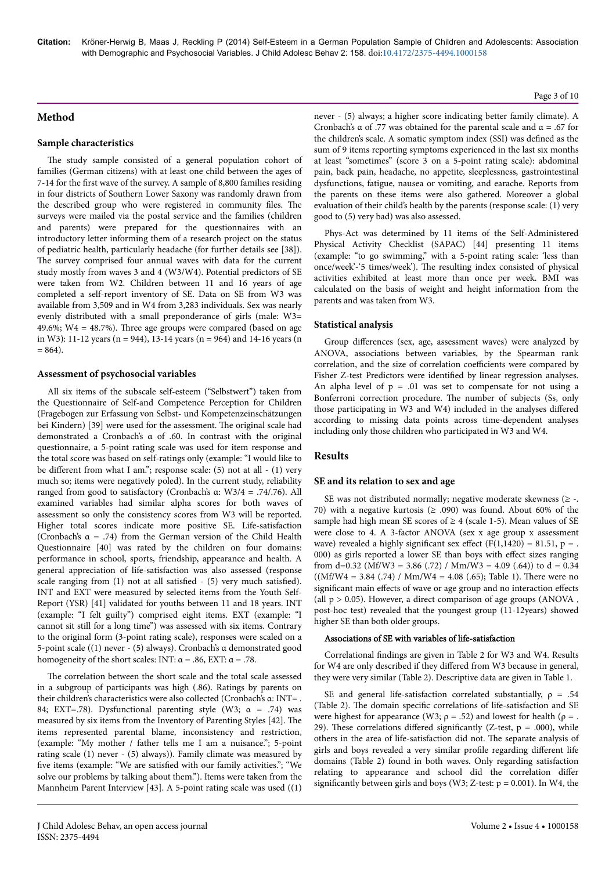# **Method**

#### **Sample characteristics**

The study sample consisted of a general population cohort of families (German citizens) with at least one child between the ages of 7-14 for the first wave of the survey. A sample of 8,800 families residing in four districts of Southern Lower Saxony was randomly drawn from the described group who were registered in community files. Нe surveys were mailed via the postal service and the families (children and parents) were prepared for the questionnaires with an introductory letter informing them of a research project on the status of pediatric health, particularly headache (for further details see [38]). The survey comprised four annual waves with data for the current study mostly from waves 3 and 4 (W3/W4). Potential predictors of SE were taken from W2. Children between 11 and 16 years of age completed a self-report inventory of SE. Data on SE from W3 was available from 3,509 and in W4 from 3,283 individuals. Sex was nearly evenly distributed with a small preponderance of girls (male: W3= 49.6%;  $W4 = 48.7\%$ ). Three age groups were compared (based on age in W3): 11-12 years (n = 944), 13-14 years (n = 964) and 14-16 years (n  $= 864$ ).

#### **Assessment of psychosocial variables**

All six items of the subscale self-esteem ("Selbstwert") taken from the Questionnaire of Self-and Competence Perception for Children (Fragebogen zur Erfassung von Selbst- und Kompetenzeinschätzungen bei Kindern) [39] were used for the assessment. Нe original scale had demonstrated a Cronbach's α of .60. In contrast with the original questionnaire, a 5-point rating scale was used for item response and the total score was based on self-ratings only (example: "I would like to be different from what I am."; response scale:  $(5)$  not at all -  $(1)$  very much so; items were negatively poled). In the current study, reliability ranged from good to satisfactory (Cronbach's α: W3/4 = .74/.76). All examined variables had similar alpha scores for both waves of assessment so only the consistency scores from W3 will be reported. Higher total scores indicate more positive SE. Life-satisfaction (Cronbach's  $\alpha = .74$ ) from the German version of the Child Health Questionnaire [40] was rated by the children on four domains: performance in school, sports, friendship, appearance and health. A general appreciation of life-satisfaction was also assessed (response scale ranging from  $(1)$  not at all satisfied -  $(5)$  very much satisfied). INT and EXT were measured by selected items from the Youth Self-Report (YSR) [41] validated for youths between 11 and 18 years. INT (example: "I felt guilty") comprised eight items. EXT (example: "I cannot sit still for a long time") was assessed with six items. Contrary to the original form (3-point rating scale), responses were scaled on a 5-point scale ((1) never - (5) always). Cronbach's α demonstrated good homogeneity of the short scales: INT:  $\alpha$  = .86, EXT:  $\alpha$  = .78.

The correlation between the short scale and the total scale assessed in a subgroup of participants was high (.86). Ratings by parents on their children's characteristics were also collected (Cronbach's α: INT= . 84; EXT=.78). Dysfunctional parenting style (W3;  $\alpha$  = .74) was measured by six items from the Inventory of Parenting Styles [42]. Нe items represented parental blame, inconsistency and restriction, (example: "My mother / father tells me I am a nuisance."; 5-point rating scale (1) never - (5) always)). Family climate was measured by five items (example: "We are satisfied with our family activities."; "We solve our problems by talking about them."). Items were taken from the Mannheim Parent Interview [43]. A 5-point rating scale was used ((1)

#### Page 3 of 10

never - (5) always; a higher score indicating better family climate). A Cronbach's  $\alpha$  of .77 was obtained for the parental scale and  $\alpha$  = .67 for the children's scale. A somatic symptom index (SSI) was defined as the sum of 9 items reporting symptoms experienced in the last six months at least "sometimes" (score 3 on a 5-point rating scale): abdominal pain, back pain, headache, no appetite, sleeplessness, gastrointestinal dysfunctions, fatigue, nausea or vomiting, and earache. Reports from the parents on these items were also gathered. Moreover a global evaluation of their child's health by the parents (response scale: (1) very good to (5) very bad) was also assessed.

Phys-Act was determined by 11 items of the Self-Administered Physical Activity Checklist (SAPAC) [44] presenting 11 items (example: "to go swimming," with a 5-point rating scale: 'less than once/week'-'5 times/week'). Нe resulting index consisted of physical activities exhibited at least more than once per week. BMI was calculated on the basis of weight and height information from the parents and was taken from W3.

#### **Statistical analysis**

Group differences (sex, age, assessment waves) were analyzed by ANOVA, associations between variables, by the Spearman rank correlation, and the size of correlation coefficients were compared by Fisher Z-test Predictors were identified by linear regression analyses. An alpha level of  $p = .01$  was set to compensate for not using a Bonferroni correction procedure. Нe number of subjects (Ss, only those participating in W3 and W4) included in the analyses differed according to missing data points across time-dependent analyses including only those children who participated in W3 and W4.

# **Results**

#### **SE and its relation to sex and age**

SE was not distributed normally; negative moderate skewness  $(\geq -1)$ . 70) with a negative kurtosis ( $\geq$  .090) was found. About 60% of the sample had high mean SE scores of  $\geq 4$  (scale 1-5). Mean values of SE were close to 4. A 3-factor ANOVA (sex x age group x assessment wave) revealed a highly significant sex effect (F(1,1420) = 81.51, p = . 000) as girls reported a lower SE than boys with effect sizes ranging from d=0.32 (Mf/W3 = 3.86 (.72) / Mm/W3 = 4.09 (.64)) to  $d = 0.34$  $((Mf/W4 = 3.84 (.74) / Mm/W4 = 4.08 (.65);$  Table 1). There were no significant main effects of wave or age group and no interaction effects (all  $p > 0.05$ ). However, a direct comparison of age groups (ANOVA, post-hoc test) revealed that the youngest group (11-12years) showed higher SE than both older groups.

#### Associations of SE with variables of life-satisfaction

Correlational findings are given in Table 2 for W3 and W4. Results for W4 are only described if they differed from W3 because in general, they were very similar (Table 2). Descriptive data are given in Table 1.

SE and general life-satisfaction correlated substantially,  $\rho = .54$ (Table 2). Нe domain specific correlations of life-satisfaction and SE were highest for appearance (W3;  $\rho = .52$ ) and lowest for health ( $\rho = .$ 29). These correlations differed significantly (Z-test,  $p = .000$ ), while others in the area of life-satisfaction did not. Нe separate analysis of girls and boys revealed a very similar profile regarding different life domains (Table 2) found in both waves. Only regarding satisfaction relating to appearance and school did the correlation differ significantly between girls and boys (W3; Z-test:  $p = 0.001$ ). In W4, the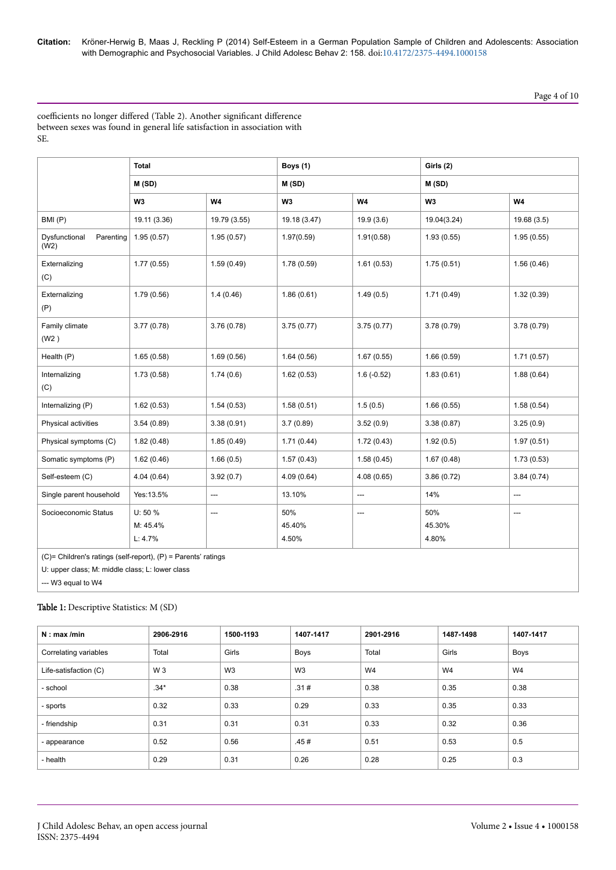**Citation:** Kröner-Herwig B, Maas J, Reckling P (2014) Self-Esteem in a German Population Sample of Children and Adolescents: Association with Demographic and Psychosocial Variables. J Child Adolesc Behav 2: 158. doi:10.4172/2375-4494.1000158

Page 4 of 10

coefficients no longer differed (Table 2). Another significant difference between sexes was found in general life satisfaction in association with SE.

|                                                                                                                       | <b>Total</b>                  |              | <b>Boys (1)</b>        |              | Girls (2)              |            |  |
|-----------------------------------------------------------------------------------------------------------------------|-------------------------------|--------------|------------------------|--------------|------------------------|------------|--|
|                                                                                                                       | M(SD)                         |              | M(SD)                  |              | M (SD)                 |            |  |
|                                                                                                                       | W3                            | <b>W4</b>    | W <sub>3</sub>         | <b>W4</b>    | W3                     | <b>W4</b>  |  |
| BMI(P)                                                                                                                | 19.11 (3.36)                  | 19.79 (3.55) | 19.18 (3.47)           | 19.9(3.6)    | 19.04(3.24)            | 19.68(3.5) |  |
| Parenting<br>Dysfunctional<br>(W2)                                                                                    | 1.95(0.57)                    | 1.95(0.57)   | 1.97(0.59)             | 1.91(0.58)   | 1.93(0.55)             | 1.95(0.55) |  |
| Externalizing<br>(C)                                                                                                  | 1.77(0.55)                    | 1.59(0.49)   | 1.78(0.59)             | 1.61(0.53)   | 1.75(0.51)             | 1.56(0.46) |  |
| Externalizing<br>(P)                                                                                                  | 1.79(0.56)                    | 1.4(0.46)    | 1.86(0.61)             | 1.49(0.5)    | 1.71(0.49)             | 1.32(0.39) |  |
| Family climate<br>(W2)                                                                                                | 3.77(0.78)                    | 3.76(0.78)   | 3.75(0.77)             | 3.75(0.77)   | 3.78(0.79)             | 3.78(0.79) |  |
| Health (P)                                                                                                            | 1.65(0.58)                    | 1.69(0.56)   | 1.64(0.56)             | 1.67(0.55)   | 1.66(0.59)             | 1.71(0.57) |  |
| Internalizing<br>(C)                                                                                                  | 1.73(0.58)                    | 1.74(0.6)    | 1.62(0.53)             | $1.6(-0.52)$ | 1.83(0.61)             | 1.88(0.64) |  |
| Internalizing (P)                                                                                                     | 1.62(0.53)                    | 1.54(0.53)   | 1.58(0.51)             | 1.5(0.5)     | 1.66(0.55)             | 1.58(0.54) |  |
| Physical activities                                                                                                   | 3.54(0.89)                    | 3.38(0.91)   | 3.7(0.89)              | 3.52(0.9)    | 3.38(0.87)             | 3.25(0.9)  |  |
| Physical symptoms (C)                                                                                                 | 1.82(0.48)                    | 1.85(0.49)   | 1.71(0.44)             | 1.72(0.43)   | 1.92(0.5)              | 1.97(0.51) |  |
| Somatic symptoms (P)                                                                                                  | 1.62(0.46)                    | 1.66(0.5)    | 1.57(0.43)             | 1.58(0.45)   | 1.67(0.48)             | 1.73(0.53) |  |
| Self-esteem (C)                                                                                                       | 4.04(0.64)                    | 3.92(0.7)    | 4.09(0.64)             | 4.08(0.65)   | 3.86(0.72)             | 3.84(0.74) |  |
| Single parent household                                                                                               | Yes:13.5%                     | ---          | 13.10%                 | ---          | 14%                    | ---        |  |
| Socioeconomic Status                                                                                                  | U: 50%<br>M: 45.4%<br>L: 4.7% | ---          | 50%<br>45.40%<br>4.50% | ---          | 50%<br>45.30%<br>4.80% | ---        |  |
| $(C)$ = Children's ratings (self-report), $(P)$ = Parents' ratings<br>U: upper class; M: middle class; L: lower class |                               |              |                        |              |                        |            |  |

--- W3 equal to W4

# Table 1: Descriptive Statistics: M (SD)

| N: max/min            | 2906-2916 | 1500-1193      | 1407-1417      | 2901-2916      | 1487-1498      | 1407-1417      |
|-----------------------|-----------|----------------|----------------|----------------|----------------|----------------|
| Correlating variables | Total     | Girls          | Boys           | Total          | Girls          | <b>Boys</b>    |
| Life-satisfaction (C) | W 3       | W <sub>3</sub> | W <sub>3</sub> | W <sub>4</sub> | W <sub>4</sub> | W <sub>4</sub> |
| - school              | $.34*$    | 0.38           | .31#           | 0.38           | 0.35           | 0.38           |
| - sports              | 0.32      | 0.33           | 0.29           | 0.33           | 0.35           | 0.33           |
| - friendship          | 0.31      | 0.31           | 0.31           | 0.33           | 0.32           | 0.36           |
| - appearance          | 0.52      | 0.56           | .45#           | 0.51           | 0.53           | 0.5            |
| - health              | 0.29      | 0.31           | 0.26           | 0.28           | 0.25           | 0.3            |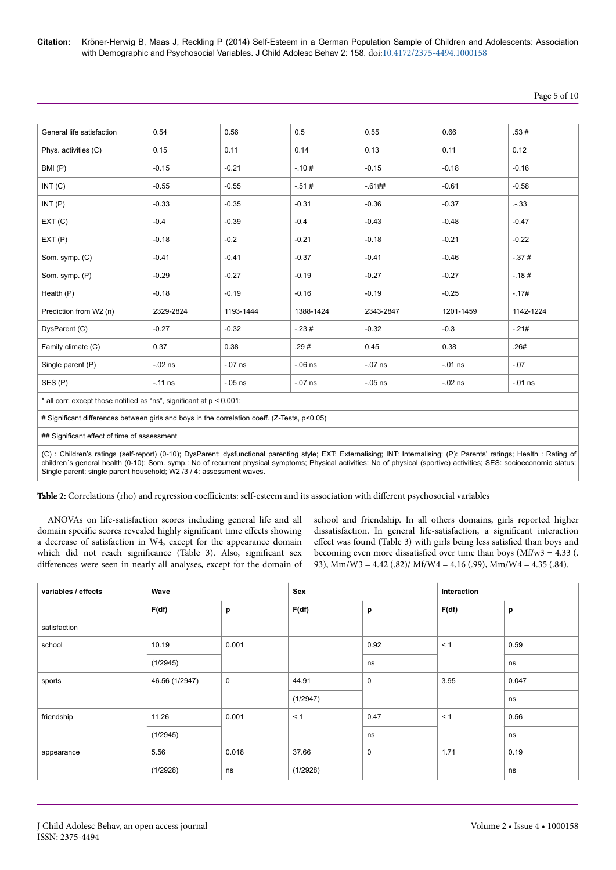**Citation:** Kröner-Herwig B, Maas J, Reckling P (2014) Self-Esteem in a German Population Sample of Children and Adolescents: Association with Demographic and Psychosocial Variables. J Child Adolesc Behav 2: 158. doi:10.4172/2375-4494.1000158

# Page 5 of 10

| General life satisfaction                                                                                                                                               | 0.54       | 0.56       | 0.5       | 0.55      | 0.66       | .53#      |
|-------------------------------------------------------------------------------------------------------------------------------------------------------------------------|------------|------------|-----------|-----------|------------|-----------|
| Phys. activities (C)                                                                                                                                                    | 0.15       | 0.11       | 0.14      | 0.13      | 0.11       | 0.12      |
| BMI(P)                                                                                                                                                                  | $-0.15$    | $-0.21$    | $-.10#$   | $-0.15$   | $-0.18$    | $-0.16$   |
| INT(C)                                                                                                                                                                  | $-0.55$    | $-0.55$    | $-.51#$   | $-.61##$  | $-0.61$    | $-0.58$   |
| INT(P)                                                                                                                                                                  | $-0.33$    | $-0.35$    | $-0.31$   | $-0.36$   | $-0.37$    | $-.33$    |
| EXT(C)                                                                                                                                                                  | $-0.4$     | $-0.39$    | $-0.4$    | $-0.43$   | $-0.48$    | $-0.47$   |
| EXT(P)                                                                                                                                                                  | $-0.18$    | $-0.2$     | $-0.21$   | $-0.18$   | $-0.21$    | $-0.22$   |
| Som. symp. (C)                                                                                                                                                          | $-0.41$    | $-0.41$    | $-0.37$   | $-0.41$   | $-0.46$    | $-.37#$   |
| Som. symp. (P)                                                                                                                                                          | $-0.29$    | $-0.27$    | $-0.19$   | $-0.27$   | $-0.27$    | $-.18#$   |
| Health (P)                                                                                                                                                              | $-0.18$    | $-0.19$    | $-0.16$   | $-0.19$   | $-0.25$    | $-.17#$   |
| Prediction from W2 (n)                                                                                                                                                  | 2329-2824  | 1193-1444  | 1388-1424 | 2343-2847 | 1201-1459  | 1142-1224 |
| DysParent (C)                                                                                                                                                           | $-0.27$    | $-0.32$    | $-.23#$   | $-0.32$   | $-0.3$     | $-.21#$   |
| Family climate (C)                                                                                                                                                      | 0.37       | 0.38       | .29#      | 0.45      | 0.38       | .26#      |
| Single parent (P)                                                                                                                                                       | $-0.02$ ns | $-07$ ns   | $-06$ ns  | $-.07$ ns | $-01$ ns   | $-.07$    |
| SES (P)                                                                                                                                                                 | $-0.11$ ns | $-0.05$ ns | $-.07$ ns | $-05$ ns  | $-0.02$ ns | $-.01$ ns |
| * all corr. except those notified as "ns", significant at $p < 0.001$ ;                                                                                                 |            |            |           |           |            |           |
| # Significant differences between girls and boys in the correlation coeff. (Z-Tests, p<0.05)                                                                            |            |            |           |           |            |           |
| ## Significant effect of time of assessment                                                                                                                             |            |            |           |           |            |           |
| (C) Children's ratings (self-report) (0-10) DysParent: dysfunctional parenting style: EXT: Externalising: INT: Internalising: (P): Parents' ratings: Health : Rating of |            |            |           |           |            |           |

(C) : Children's ratings (self-report) (0-10); DysParent: dysfunctional parenting style; EXT: Externalising; INT: Internalising; (P): Parents' ratings; Health : Rating of children´s general health (0-10); Som. symp.: No of recurrent physical symptoms; Physical activities: No of physical (sportive) activities; SES: socioeconomic status; Single parent: single parent household; W2 /3 / 4: assessment waves.

Table 2: Correlations (rho) and regression coefficients: self-esteem and its association with different psychosocial variables

ANOVAs on life-satisfaction scores including general life and all domain specific scores revealed highly significant time effects showing a decrease of satisfaction in W4, except for the appearance domain which did not reach significance (Table 3). Also, significant sex differences were seen in nearly all analyses, except for the domain of school and friendship. In all others domains, girls reported higher dissatisfaction. In general life-satisfaction, a significant interaction effect was found (Table 3) with girls being less satisfied than boys and becoming even more dissatisfied over time than boys ( $Mf/w3 = 4.33$  (. 93), Mm/W3 = 4.42 (.82)/ Mf/W4 = 4.16 (.99), Mm/W4 = 4.35 (.84).

| variables / effects | Wave           |             | Sex      |      | Interaction |       |
|---------------------|----------------|-------------|----------|------|-------------|-------|
|                     | F(df)          | р           | F(df)    | p    | F(df)       | p     |
| satisfaction        |                |             |          |      |             |       |
| school              | 10.19          | 0.001       |          | 0.92 | $\leq$ 1    | 0.59  |
|                     | (1/2945)       |             |          | ns   |             | ns    |
| sports              | 46.56 (1/2947) | $\mathbf 0$ | 44.91    | 0    | 3.95        | 0.047 |
|                     |                |             | (1/2947) |      |             | ns    |
| friendship          | 11.26          | 0.001       | < 1      | 0.47 | $\leq$ 1    | 0.56  |
|                     | (1/2945)       |             |          | ns   |             | ns    |
| appearance          | 5.56           | 0.018       | 37.66    | 0    | 1.71        | 0.19  |
|                     | (1/2928)       | ns          | (1/2928) |      |             | ns    |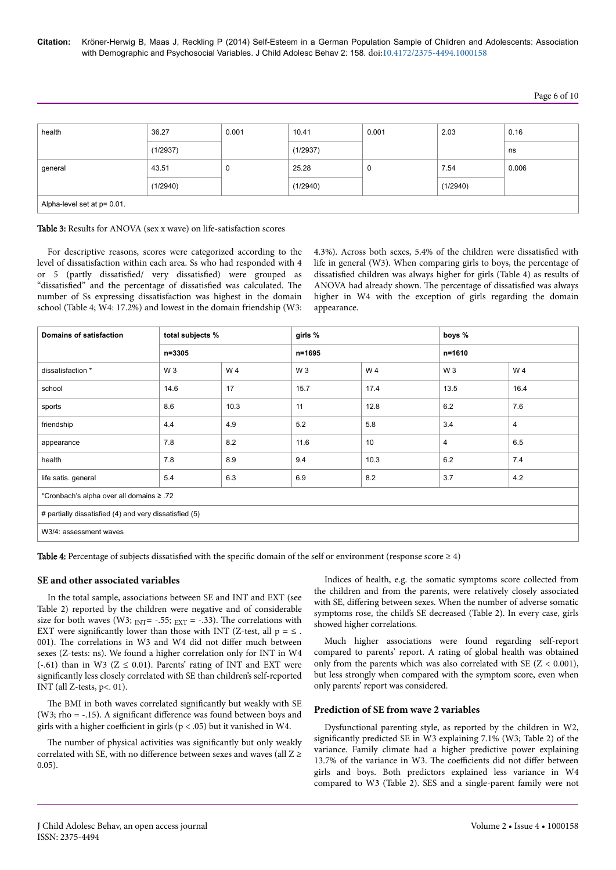Page 6 of 10

| health                      | 36.27    | 0.001 | 10.41    | 0.001 | 2.03     | 0.16  |  |
|-----------------------------|----------|-------|----------|-------|----------|-------|--|
|                             | (1/2937) |       | (1/2937) |       |          | ns    |  |
| general                     | 43.51    | 0     | 25.28    | 0     | 7.54     | 0.006 |  |
|                             | (1/2940) |       | (1/2940) |       | (1/2940) |       |  |
| Alpha-level set at p= 0.01. |          |       |          |       |          |       |  |

#### Table 3: Results for ANOVA (sex x wave) on life-satisfaction scores

For descriptive reasons, scores were categorized according to the level of dissatisfaction within each area. Ss who had responded with 4 or 5 (partly dissatisfied/ very dissatisfied) were grouped as "dissatisfied" and the percentage of dissatisfied was calculated. The number of Ss expressing dissatisfaction was highest in the domain school (Table 4; W4: 17.2%) and lowest in the domain friendship (W3:

4.3%). Across both sexes, 5.4% of the children were dissatisfied with life in general (W3). When comparing girls to boys, the percentage of dissatisfied children was always higher for girls (Table 4) as results of ANOVA had already shown. The percentage of dissatisfied was always higher in W4 with the exception of girls regarding the domain appearance.

| Domains of satisfaction                                | total subjects % |                | girls % |      | boys %         |                |  |  |
|--------------------------------------------------------|------------------|----------------|---------|------|----------------|----------------|--|--|
|                                                        | n=3305           |                | n=1695  |      | n=1610         |                |  |  |
| dissatisfaction *                                      | W 3              | W <sub>4</sub> | W 3     | W 4  | W <sub>3</sub> | W 4            |  |  |
| school                                                 | 14.6             | 17             | 15.7    | 17.4 | 13.5           | 16.4           |  |  |
| sports                                                 | 8.6              | 10.3           | 11      | 12.8 | 6.2            | 7.6            |  |  |
| friendship                                             | 4.4              | 4.9            | 5.2     | 5.8  | 3.4            | $\overline{4}$ |  |  |
| appearance                                             | 7.8              | 8.2            | 11.6    | 10   | 4              | 6.5            |  |  |
| health                                                 | 7.8              | 8.9            | 9.4     | 10.3 | 6.2            | 7.4            |  |  |
| life satis. general                                    | 5.4              | 6.3            | 6.9     | 8.2  | 3.7            | 4.2            |  |  |
| *Cronbach's alpha over all domains ≥ .72               |                  |                |         |      |                |                |  |  |
| # partially dissatisfied (4) and very dissatisfied (5) |                  |                |         |      |                |                |  |  |
| W3/4: assessment waves                                 |                  |                |         |      |                |                |  |  |

Table 4: Percentage of subjects dissatisfied with the specific domain of the self or environment (response score  $\geq 4$ )

# **SE and other associated variables**

In the total sample, associations between SE and INT and EXT (see Table 2) reported by the children were negative and of considerable size for both waves (W3;  $_{\text{INT}}$ = -.55;  $_{\text{EXT}}$  = -.33). The correlations with EXT were significantly lower than those with INT (Z-test, all  $p = \leq$ . 001). The correlations in W3 and W4 did not differ much between sexes (Z-tests: ns). We found a higher correlation only for INT in W4 (-.61) than in W3 ( $Z \le 0.01$ ). Parents' rating of INT and EXT were significantly less closely correlated with SE than children's self-reported INT (all Z-tests, p<. 01).

The BMI in both waves correlated significantly but weakly with SE (W3; rho =  $-$ .15). A significant difference was found between boys and girls with a higher coefficient in girls ( $p < .05$ ) but it vanished in W4.

The number of physical activities was significantly but only weakly correlated with SE, with no difference between sexes and waves (all  $Z \ge$ 0.05).

Indices of health, e.g. the somatic symptoms score collected from the children and from the parents, were relatively closely associated with SE, differing between sexes. When the number of adverse somatic symptoms rose, the child's SE decreased (Table 2). In every case, girls showed higher correlations.

Much higher associations were found regarding self-report compared to parents' report. A rating of global health was obtained only from the parents which was also correlated with SE  $(Z < 0.001)$ , but less strongly when compared with the symptom score, even when only parents' report was considered.

# **Prediction of SE from wave 2 variables**

Dysfunctional parenting style, as reported by the children in W2, significantly predicted SE in W3 explaining 7.1% (W3; Table 2) of the variance. Family climate had a higher predictive power explaining 13.7% of the variance in W3. The coefficients did not differ between girls and boys. Both predictors explained less variance in W4 compared to W3 (Table 2). SES and a single-parent family were not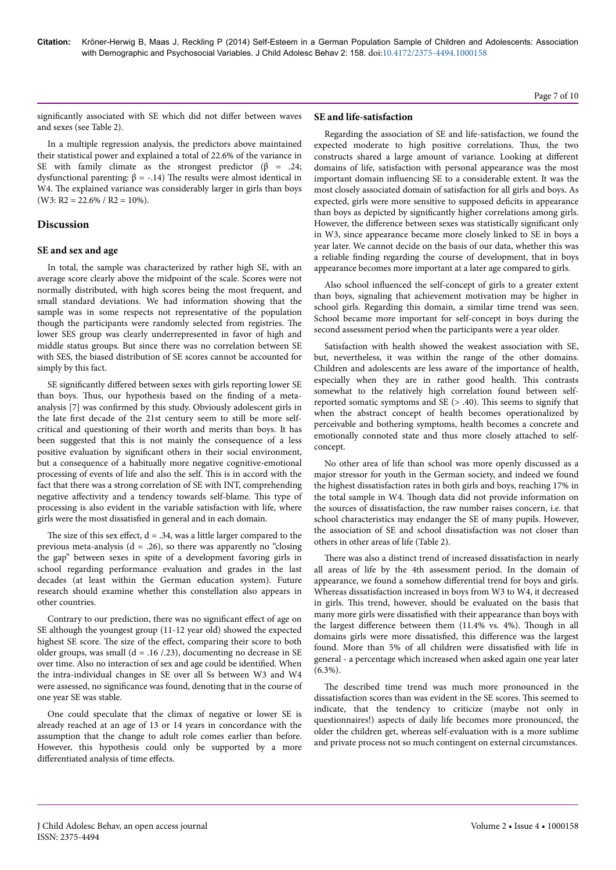Page 7 of 10

significantly associated with SE which did not differ between waves and sexes (see Table 2).

In a multiple regression analysis, the predictors above maintained their statistical power and explained a total of 22.6% of the variance in SE with family climate as the strongest predictor ( $\beta$  = .24; dysfunctional parenting:  $β = -.14$ ) The results were almost identical in W4. The explained variance was considerably larger in girls than boys  $(W3: R2 = 22.6\% / R2 = 10\%).$ 

# **Discussion**

# **SE and sex and age**

In total, the sample was characterized by rather high SE, with an average score clearly above the midpoint of the scale. Scores were not normally distributed, with high scores being the most frequent, and small standard deviations. We had information showing that the sample was in some respects not representative of the population though the participants were randomly selected from registries. Нe lower SES group was clearly underrepresented in favor of high and middle status groups. But since there was no correlation between SE with SES, the biased distribution of SE scores cannot be accounted for simply by this fact.

SE significantly differed between sexes with girls reporting lower SE than boys. Нus, our hypothesis based on the finding of a metaanalysis [7] was confirmed by this study. Obviously adolescent girls in the late first decade of the 21st century seem to still be more selfcritical and questioning of their worth and merits than boys. It has been suggested that this is not mainly the consequence of a less positive evaluation by significant others in their social environment, but a consequence of a habitually more negative cognitive-emotional processing of events of life and also the self. Нis is in accord with the fact that there was a strong correlation of SE with INT, comprehending negative affectivity and a tendency towards self-blame. This type of processing is also evident in the variable satisfaction with life, where girls were the most dissatisfied in general and in each domain.

The size of this sex effect,  $d = .34$ , was a little larger compared to the previous meta-analysis ( $d = .26$ ), so there was apparently no "closing the gap" between sexes in spite of a development favoring girls in school regarding performance evaluation and grades in the last decades (at least within the German education system). Future research should examine whether this constellation also appears in other countries.

Contrary to our prediction, there was no significant effect of age on SE although the youngest group (11-12 year old) showed the expected highest SE score. The size of the effect, comparing their score to both older groups, was small ( $d = .16$  /.23), documenting no decrease in SE over time. Also no interaction of sex and age could be identified. When the intra-individual changes in SE over all Ss between W3 and W4 were assessed, no significance was found, denoting that in the course of one year SE was stable.

One could speculate that the climax of negative or lower SE is already reached at an age of 13 or 14 years in concordance with the assumption that the change to adult role comes earlier than before. However, this hypothesis could only be supported by a more differentiated analysis of time effects.

#### **SE and life-satisfaction**

Regarding the association of SE and life-satisfaction, we found the expected moderate to high positive correlations. Нus, the two constructs shared a large amount of variance. Looking at different domains of life, satisfaction with personal appearance was the most important domain influencing SE to a considerable extent. It was the most closely associated domain of satisfaction for all girls and boys. As expected, girls were more sensitive to supposed deficits in appearance than boys as depicted by significantly higher correlations among girls. However, the difference between sexes was statistically significant only in W3, since appearance became more closely linked to SE in boys a year later. We cannot decide on the basis of our data, whether this was a reliable finding regarding the course of development, that in boys appearance becomes more important at a later age compared to girls.

Also school influenced the self-concept of girls to a greater extent than boys, signaling that achievement motivation may be higher in school girls. Regarding this domain, a similar time trend was seen. School became more important for self-concept in boys during the second assessment period when the participants were a year older.

Satisfaction with health showed the weakest association with SE, but, nevertheless, it was within the range of the other domains. Children and adolescents are less aware of the importance of health, especially when they are in rather good health. Нis contrasts somewhat to the relatively high correlation found between selfreported somatic symptoms and  $SE$  ( $>$  .40). This seems to signify that when the abstract concept of health becomes operationalized by perceivable and bothering symptoms, health becomes a concrete and emotionally connoted state and thus more closely attached to selfconcept.

No other area of life than school was more openly discussed as a major stressor for youth in the German society, and indeed we found the highest dissatisfaction rates in both girls and boys, reaching 17% in the total sample in W4. Нough data did not provide information on the sources of dissatisfaction, the raw number raises concern, i.e. that school characteristics may endanger the SE of many pupils. However, the association of SE and school dissatisfaction was not closer than others in other areas of life (Table 2).

There was also a distinct trend of increased dissatisfaction in nearly all areas of life by the 4th assessment period. In the domain of appearance, we found a somehow differential trend for boys and girls. Whereas dissatisfaction increased in boys from W3 to W4, it decreased in girls. Нis trend, however, should be evaluated on the basis that many more girls were dissatisfied with their appearance than boys with the largest difference between them (11.4% vs. 4%). Though in all domains girls were more dissatisfied, this difference was the largest found. More than 5% of all children were dissatisfied with life in general - a percentage which increased when asked again one year later (6.3%).

The described time trend was much more pronounced in the dissatisfaction scores than was evident in the SE scores. Нis seemed to indicate, that the tendency to criticize (maybe not only in questionnaires!) aspects of daily life becomes more pronounced, the older the children get, whereas self-evaluation with is a more sublime and private process not so much contingent on external circumstances.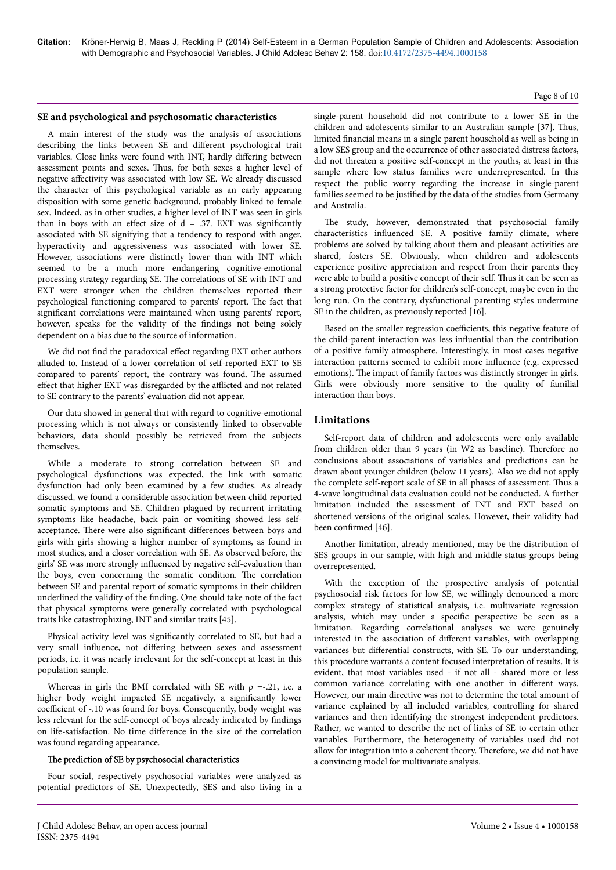## **SE and psychological and psychosomatic characteristics**

A main interest of the study was the analysis of associations describing the links between SE and different psychological trait variables. Close links were found with INT, hardly differing between assessment points and sexes. Нus, for both sexes a higher level of negative affectivity was associated with low SE. We already discussed the character of this psychological variable as an early appearing disposition with some genetic background, probably linked to female sex. Indeed, as in other studies, a higher level of INT was seen in girls than in boys with an effect size of  $d = .37$ . EXT was significantly associated with SE signifying that a tendency to respond with anger, hyperactivity and aggressiveness was associated with lower SE. However, associations were distinctly lower than with INT which seemed to be a much more endangering cognitive-emotional processing strategy regarding SE. Нe correlations of SE with INT and EXT were stronger when the children themselves reported their psychological functioning compared to parents' report. Нe fact that significant correlations were maintained when using parents' report, however, speaks for the validity of the findings not being solely dependent on a bias due to the source of information.

We did not find the paradoxical effect regarding EXT other authors alluded to. Instead of a lower correlation of self-reported EXT to SE compared to parents' report, the contrary was found. Нe assumed effect that higher EXT was disregarded by the afflicted and not related to SE contrary to the parents' evaluation did not appear.

Our data showed in general that with regard to cognitive-emotional processing which is not always or consistently linked to observable behaviors, data should possibly be retrieved from the subjects themselves.

While a moderate to strong correlation between SE and psychological dysfunctions was expected, the link with somatic dysfunction had only been examined by a few studies. As already discussed, we found a considerable association between child reported somatic symptoms and SE. Children plagued by recurrent irritating symptoms like headache, back pain or vomiting showed less selfacceptance. There were also significant differences between boys and girls with girls showing a higher number of symptoms, as found in most studies, and a closer correlation with SE. As observed before, the girls' SE was more strongly influenced by negative self-evaluation than the boys, even concerning the somatic condition. Нe correlation between SE and parental report of somatic symptoms in their children underlined the validity of the finding. One should take note of the fact that physical symptoms were generally correlated with psychological traits like catastrophizing, INT and similar traits [45].

Physical activity level was significantly correlated to SE, but had a very small influence, not differing between sexes and assessment periods, i.e. it was nearly irrelevant for the self-concept at least in this population sample.

Whereas in girls the BMI correlated with SE with  $\rho = -0.21$ , i.e. a higher body weight impacted SE negatively, a significantly lower coefficient of -.10 was found for boys. Consequently, body weight was less relevant for the self-concept of boys already indicated by findings on life-satisfaction. No time difference in the size of the correlation was found regarding appearance.

#### The prediction of SE by psychosocial characteristics

Four social, respectively psychosocial variables were analyzed as potential predictors of SE. Unexpectedly, SES and also living in a

single-parent household did not contribute to a lower SE in the children and adolescents similar to an Australian sample [37]. Нus, limited financial means in a single parent household as well as being in a low SES group and the occurrence of other associated distress factors, did not threaten a positive self-concept in the youths, at least in this sample where low status families were underrepresented. In this respect the public worry regarding the increase in single-parent families seemed to be justified by the data of the studies from Germany and Australia.

The study, however, demonstrated that psychosocial family characteristics influenced SE. A positive family climate, where problems are solved by talking about them and pleasant activities are shared, fosters SE. Obviously, when children and adolescents experience positive appreciation and respect from their parents they were able to build a positive concept of their self. Нus it can be seen as a strong protective factor for children's self-concept, maybe even in the long run. On the contrary, dysfunctional parenting styles undermine SE in the children, as previously reported [16].

Based on the smaller regression coefficients, this negative feature of the child-parent interaction was less influential than the contribution of a positive family atmosphere. Interestingly, in most cases negative interaction patterns seemed to exhibit more influence (e.g. expressed emotions). Нe impact of family factors was distinctly stronger in girls. Girls were obviously more sensitive to the quality of familial interaction than boys.

#### **Limitations**

Self-report data of children and adolescents were only available from children older than 9 years (in W2 as baseline). Нerefore no conclusions about associations of variables and predictions can be drawn about younger children (below 11 years). Also we did not apply the complete self-report scale of SE in all phases of assessment. Нus a 4-wave longitudinal data evaluation could not be conducted. A further limitation included the assessment of INT and EXT based on shortened versions of the original scales. However, their validity had been confirmed [46].

Another limitation, already mentioned, may be the distribution of SES groups in our sample, with high and middle status groups being overrepresented.

With the exception of the prospective analysis of potential psychosocial risk factors for low SE, we willingly denounced a more complex strategy of statistical analysis, i.e. multivariate regression analysis, which may under a specific perspective be seen as a limitation. Regarding correlational analyses we were genuinely interested in the association of different variables, with overlapping variances but differential constructs, with SE. To our understanding, this procedure warrants a content focused interpretation of results. It is evident, that most variables used - if not all - shared more or less common variance correlating with one another in different ways. However, our main directive was not to determine the total amount of variance explained by all included variables, controlling for shared variances and then identifying the strongest independent predictors. Rather, we wanted to describe the net of links of SE to certain other variables. Furthermore, the heterogeneity of variables used did not allow for integration into a coherent theory. Нerefore, we did not have a convincing model for multivariate analysis.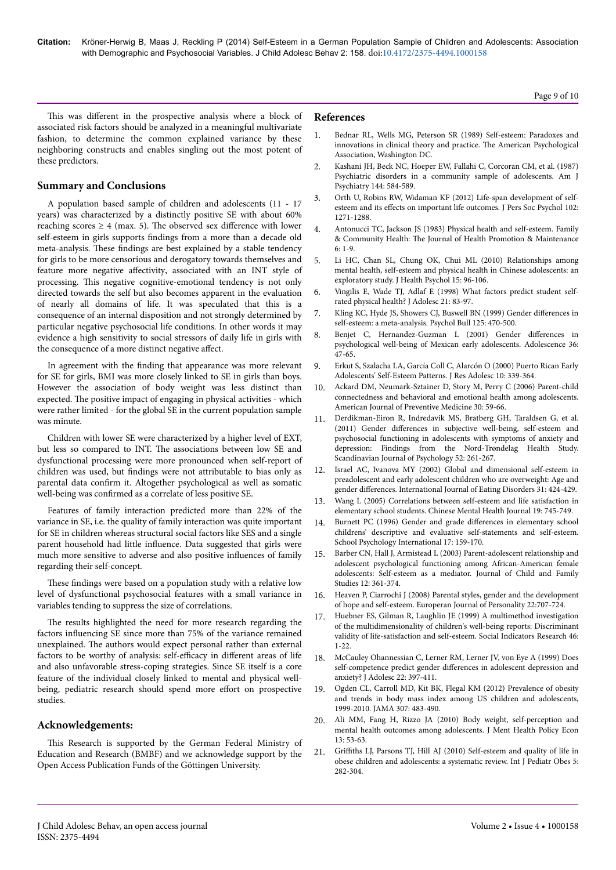This was different in the prospective analysis where a block of associated risk factors should be analyzed in a meaningful multivariate fashion, to determine the common explained variance by these neighboring constructs and enables singling out the most potent of these predictors.

# **Summary and Conclusions**

A population based sample of children and adolescents (11 - 17 years) was characterized by a distinctly positive SE with about 60% reaching scores  $\geq 4$  (max. 5). The observed sex difference with lower self-esteem in girls supports findings from a more than a decade old meta-analysis. Нese findings are best explained by a stable tendency for girls to be more censorious and derogatory towards themselves and feature more negative affectivity, associated with an INT style of processing. Нis negative cognitive-emotional tendency is not only directed towards the self but also becomes apparent in the evaluation of nearly all domains of life. It was speculated that this is a consequence of an internal disposition and not strongly determined by particular negative psychosocial life conditions. In other words it may evidence a high sensitivity to social stressors of daily life in girls with the consequence of a more distinct negative affect.

In agreement with the finding that appearance was more relevant for SE for girls, BMI was more closely linked to SE in girls than boys. However the association of body weight was less distinct than expected. Нe positive impact of engaging in physical activities - which were rather limited - for the global SE in the current population sample was minute.

Children with lower SE were characterized by a higher level of EXT, but less so compared to INT. Нe associations between low SE and dysfunctional processing were more pronounced when self-report of children was used, but findings were not attributable to bias only as parental data confirm it. Altogether psychological as well as somatic well-being was confirmed as a correlate of less positive SE.

Features of family interaction predicted more than 22% of the variance in SE, i.e. the quality of family interaction was quite important for SE in children whereas structural social factors like SES and a single parent household had little influence. Data suggested that girls were much more sensitive to adverse and also positive influences of family regarding their self-concept.

These findings were based on a population study with a relative low level of dysfunctional psychosocial features with a small variance in variables tending to suppress the size of correlations.

The results highlighted the need for more research regarding the factors influencing SE since more than 75% of the variance remained unexplained. Нe authors would expect personal rather than external factors to be worthy of analysis: self-efficacy in different areas of life and also unfavorable stress-coping strategies. Since SE itself is a core feature of the individual closely linked to mental and physical wellbeing, pediatric research should spend more effort on prospective studies.

# **Acknowledgements:**

This Research is supported by the German Federal Ministry of Education and Research (BMBF) and we acknowledge support by the Open Access Publication Funds of the Göttingen University.

## **References**

- 1. Bednar RL, Wells MG, Peterson SR (1989) Self-esteem: Paradoxes and innovations in clinical theory and practice. Нe American Psychological Association, Washington DC.
- 2. [Kashani JH, Beck NC, Hoeper EW, Fallahi C, Corcoran CM, et al. \(1987\)](http://www.ncbi.nlm.nih.gov/pubmed/3495187) [Psychiatric disorders in a community sample of adolescents. Am J](http://www.ncbi.nlm.nih.gov/pubmed/3495187) [Psychiatry 144: 584-589.](http://www.ncbi.nlm.nih.gov/pubmed/3495187)
- 3. [Orth U, Robins RW, Widaman KF \(2012\) Life-span development of self](http://www.ncbi.nlm.nih.gov/pubmed/21942279)esteem and its effects [on important life outcomes. J Pers Soc Psychol 102:](http://www.ncbi.nlm.nih.gov/pubmed/21942279) [1271-1288.](http://www.ncbi.nlm.nih.gov/pubmed/21942279)
- 4. Antonucci TC, Jackson JS (1983) Physical health and self-esteem. Family & Community Health: Нe Journal of Health Promotion & Maintenance 6: 1-9.
- 5. [Li HC, Chan SL, Chung OK, Chui ML \(2010\) Relationships among](http://www.ncbi.nlm.nih.gov/pubmed/20064888) [mental health, self-esteem and physical health in Chinese adolescents: an](http://www.ncbi.nlm.nih.gov/pubmed/20064888) [exploratory study. J Health Psychol 15: 96-106.](http://www.ncbi.nlm.nih.gov/pubmed/20064888)
- [Vingilis E, Wade TJ, Adlaf E \(1998\) What factors predict student self](http://www.ncbi.nlm.nih.gov/pubmed/9503077)[rated physical health? J Adolesc 21: 83-97.](http://www.ncbi.nlm.nih.gov/pubmed/9503077)
- 7. [Kling KC, Hyde JS, Showers CJ, Buswell BN \(1999\) Gender](http://www.ncbi.nlm.nih.gov/pubmed/10414226) differences in [self-esteem: a meta-analysis. Psychol Bull 125: 470-500.](http://www.ncbi.nlm.nih.gov/pubmed/10414226)
- 8. [Benjet C, Hernandez-Guzman L \(2001\) Gender](http://www.ncbi.nlm.nih.gov/pubmed/11407635) differences in [psychological well-being of Mexican early adolescents. Adolescence 36:](http://www.ncbi.nlm.nih.gov/pubmed/11407635) [47-65.](http://www.ncbi.nlm.nih.gov/pubmed/11407635)
- 9. [Erkut S, Szalacha LA, García Coll C, Alarcón O \(2000\) Puerto Rican Early](http://www.ncbi.nlm.nih.gov/pubmed/21461183) [Adolescents' Self-Esteem Patterns. J Res Adolesc 10: 339-364.](http://www.ncbi.nlm.nih.gov/pubmed/21461183)
- 10. [Ackard DM, Neumark-Sztainer D, Story M, Perry C \(2006\) Parent-child](http://www.ncbi.nlm.nih.gov/pubmed/16414425) [connectedness and behavioral and emotional health among adolescents.](http://www.ncbi.nlm.nih.gov/pubmed/16414425) [American Journal of Preventive Medicine 30: 59-66.](http://www.ncbi.nlm.nih.gov/pubmed/16414425)
- 11. [Derdikman-Eiron R, Indredavik MS, Bratberg GH, Taraldsen G, et al.](http://www.ncbi.nlm.nih.gov/pubmed/21265857) (2011) Gender differences [in subjective well-being, self-esteem and](http://www.ncbi.nlm.nih.gov/pubmed/21265857) [psychosocial functioning in adolescents with symptoms of anxiety and](http://www.ncbi.nlm.nih.gov/pubmed/21265857) [depression: Findings from the Nord-Trøndelag Health Study.](http://www.ncbi.nlm.nih.gov/pubmed/21265857) [Scandinavian Journal of Psychology 52: 261-267.](http://www.ncbi.nlm.nih.gov/pubmed/21265857)
- 12. [Israel AC, Ivanova MY \(2002\) Global and dimensional self-esteem in](http://www.ncbi.nlm.nih.gov/pubmed/11948647) [preadolescent and early adolescent children who are overweight: Age and](http://www.ncbi.nlm.nih.gov/pubmed/11948647) gender differences. [International Journal of Eating Disorders 31: 424-429.](http://www.ncbi.nlm.nih.gov/pubmed/11948647)
- 13. Wang L (2005) Correlations between self-esteem and life satisfaction in elementary school students. Chinese Mental Health Journal 19: 745-749.
- 14. [Burnett PC \(1996\) Gender and grade](http://spi.sagepub.com/content/17/2/159.refs?patientinform-links=yes&legid=spspi;17/2/159) differences in elementary school [childrens' descriptive and evaluative self-statements and self-esteem.](http://spi.sagepub.com/content/17/2/159.refs?patientinform-links=yes&legid=spspi;17/2/159) [School Psychology International 17: 159-170.](http://spi.sagepub.com/content/17/2/159.refs?patientinform-links=yes&legid=spspi;17/2/159)
- 15. [Barber CN, Hall J, Armistead L \(2003\) Parent-adolescent relationship and](http://link.springer.com/article/10.1023%2FA%3A1023948029266) [adolescent psychological functioning among African-American female](http://link.springer.com/article/10.1023%2FA%3A1023948029266) [adolescents: Self-esteem as a mediator. Journal of Child and Family](http://link.springer.com/article/10.1023%2FA%3A1023948029266) [Studies 12: 361-374.](http://link.springer.com/article/10.1023%2FA%3A1023948029266)
- 16. [Heaven P, Ciarrochi J \(2008\) Parental styles, gender and the development](http://www.humanresourcefulness.net/CypressCollege/docs/HUSR224/articles/Parental_Styles_Gender_and_the_Development_of_Hope_and_Self-Esteem.pdf) [of hope and self-esteem. Europeran Journal of Personality 22:707-724.](http://www.humanresourcefulness.net/CypressCollege/docs/HUSR224/articles/Parental_Styles_Gender_and_the_Development_of_Hope_and_Self-Esteem.pdf)
- [Huebner ES, Gilman R, Laughlin JE \(1999\) A multimethod investigation](http://link.springer.com/article/10.1023%2FA%3A1006821510832) [of the multidimensionality of children's well-being reports: Discriminant](http://link.springer.com/article/10.1023%2FA%3A1006821510832) [validity of life-satisfaction and self-esteem. Social Indicators Research 46:](http://link.springer.com/article/10.1023%2FA%3A1006821510832) [1-22.](http://link.springer.com/article/10.1023%2FA%3A1006821510832)
- 18. [McCauley Ohannessian C, Lerner RM, Lerner JV, von Eye A \(1999\) Does](http://www.ncbi.nlm.nih.gov/pubmed/10462430) [self-competence predict gender](http://www.ncbi.nlm.nih.gov/pubmed/10462430) differences in adolescent depression and [anxiety? J Adolesc 22: 397-411.](http://www.ncbi.nlm.nih.gov/pubmed/10462430)
- 19. [Ogden CL, Carroll MD, Kit BK, Flegal KM \(2012\) Prevalence of obesity](http://www.ncbi.nlm.nih.gov/pubmed/22253364) [and trends in body mass index among US children and adolescents,](http://www.ncbi.nlm.nih.gov/pubmed/22253364) [1999-2010. JAMA 307: 483-490.](http://www.ncbi.nlm.nih.gov/pubmed/22253364)
- 20. [Ali MM, Fang H, Rizzo JA \(2010\) Body weight, self-perception and](http://www.ncbi.nlm.nih.gov/pubmed/20919592) [mental health outcomes among adolescents. J Ment Health Policy Econ](http://www.ncbi.nlm.nih.gov/pubmed/20919592) [13: 53-63.](http://www.ncbi.nlm.nih.gov/pubmed/20919592)
- 21. Griffiths [LJ, Parsons TJ, Hill AJ \(2010\) Self-esteem and quality of life in](http://www.ncbi.nlm.nih.gov/pubmed/20210677) [obese children and adolescents: a systematic review. Int J Pediatr Obes 5:](http://www.ncbi.nlm.nih.gov/pubmed/20210677) [282-304.](http://www.ncbi.nlm.nih.gov/pubmed/20210677)